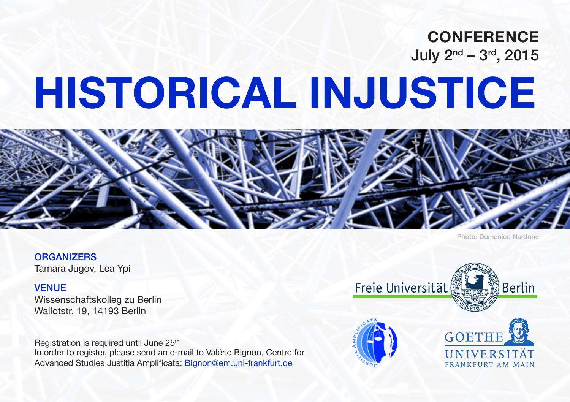## **CONFERENCE**  July 2nd – 3rd, 2015

# **HISTORICAL INJUSTICE**



Photo: Domenico Nardone

**ORGANIZERS** Tamara Jugov, Lea Ypi

#### VENUE

Wissenschaftskolleg zu Berlin Wallotstr. 19, 14193 Berlin

Registration is required until June 25<sup>th</sup> In order to register, please send an e-mail to Valérie Bignon, Centre for Advanced Studies Justitia Amplificata: Bignon@em.uni-frankfurt.de